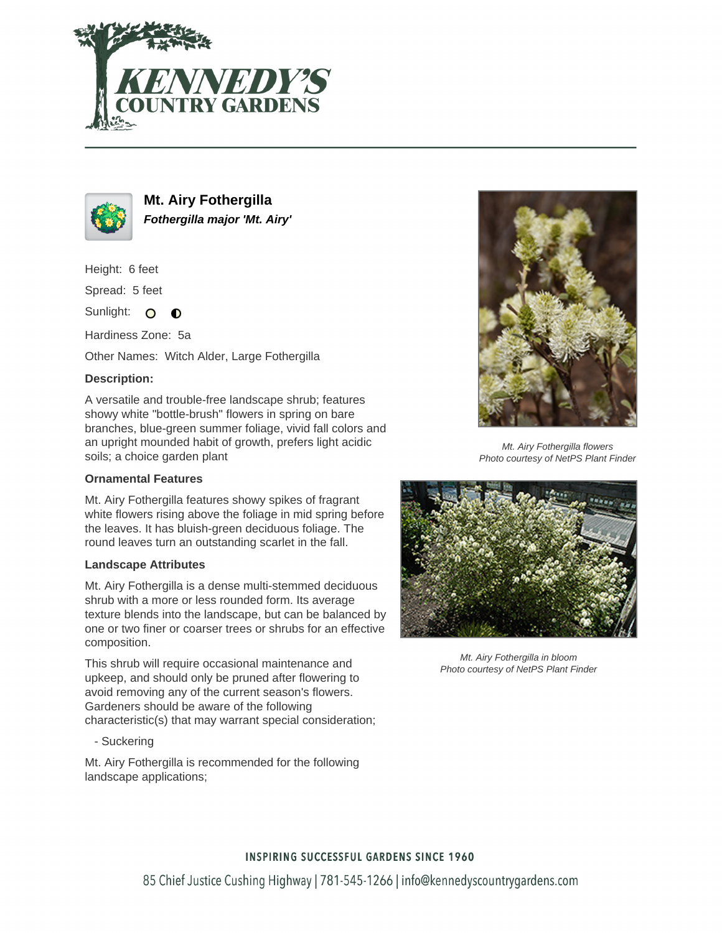



**Mt. Airy Fothergilla Fothergilla major 'Mt. Airy'**

Height: 6 feet

Spread: 5 feet

Sunlight: O  $\bullet$ 

Hardiness Zone: 5a

Other Names: Witch Alder, Large Fothergilla

## **Description:**

A versatile and trouble-free landscape shrub; features showy white "bottle-brush" flowers in spring on bare branches, blue-green summer foliage, vivid fall colors and an upright mounded habit of growth, prefers light acidic soils; a choice garden plant

### **Ornamental Features**

Mt. Airy Fothergilla features showy spikes of fragrant white flowers rising above the foliage in mid spring before the leaves. It has bluish-green deciduous foliage. The round leaves turn an outstanding scarlet in the fall.

### **Landscape Attributes**

Mt. Airy Fothergilla is a dense multi-stemmed deciduous shrub with a more or less rounded form. Its average texture blends into the landscape, but can be balanced by one or two finer or coarser trees or shrubs for an effective composition.

This shrub will require occasional maintenance and upkeep, and should only be pruned after flowering to avoid removing any of the current season's flowers. Gardeners should be aware of the following characteristic(s) that may warrant special consideration;

- Suckering

Mt. Airy Fothergilla is recommended for the following landscape applications;



Mt. Airy Fothergilla flowers Photo courtesy of NetPS Plant Finder



Mt. Airy Fothergilla in bloom Photo courtesy of NetPS Plant Finder

# **INSPIRING SUCCESSFUL GARDENS SINCE 1960**